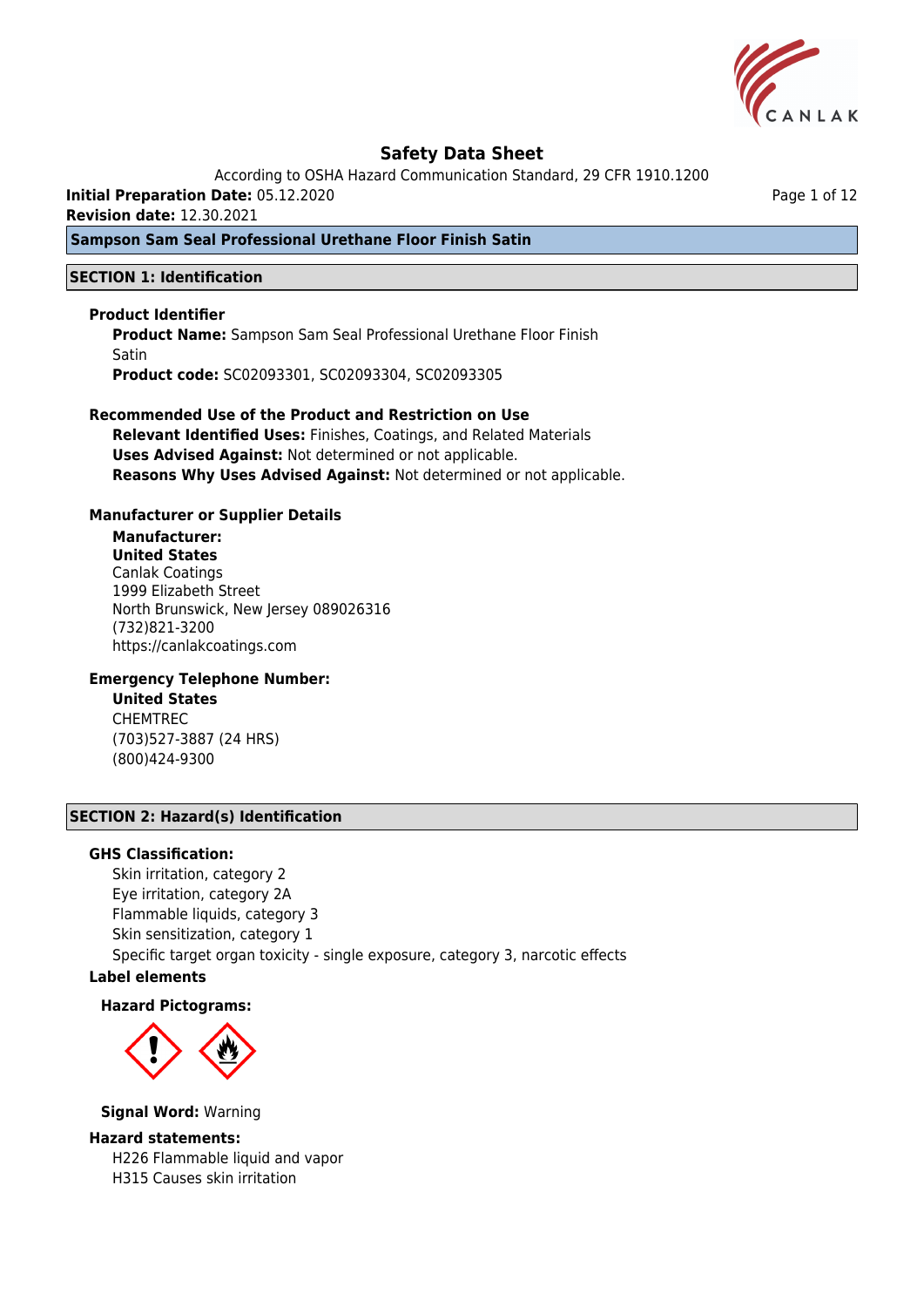

According to OSHA Hazard Communication Standard, 29 CFR 1910.1200

**Initial Preparation Date:** 05.12.2020

**Revision date:** 12.30.2021

## **Sampson Sam Seal Professional Urethane Floor Finish Satin**

### **SECTION 1: Identification**

### **Product Identifier**

**Product Name:** Sampson Sam Seal Professional Urethane Floor Finish Satin **Product code:** SC02093301, SC02093304, SC02093305

### **Recommended Use of the Product and Restriction on Use Relevant Identified Uses:** Finishes, Coatings, and Related Materials

**Uses Advised Against:** Not determined or not applicable. **Reasons Why Uses Advised Against:** Not determined or not applicable.

### **Manufacturer or Supplier Details**

# **Manufacturer:**

**United States** Canlak Coatings 1999 Elizabeth Street North Brunswick, New Jersey 089026316 (732)821-3200 https://canlakcoatings.com

## **Emergency Telephone Number:**

**United States** CHEMTREC (703)527-3887 (24 HRS) (800)424-9300

## **SECTION 2: Hazard(s) Identification**

### **GHS Classification:**

Skin irritation, category 2 Eye irritation, category 2A Flammable liquids, category 3 Skin sensitization, category 1 Specific target organ toxicity - single exposure, category 3, narcotic effects

# **Label elements**

### **Hazard Pictograms:**



**Signal Word:** Warning

### **Hazard statements:**

H226 Flammable liquid and vapor H315 Causes skin irritation

Page 1 of 12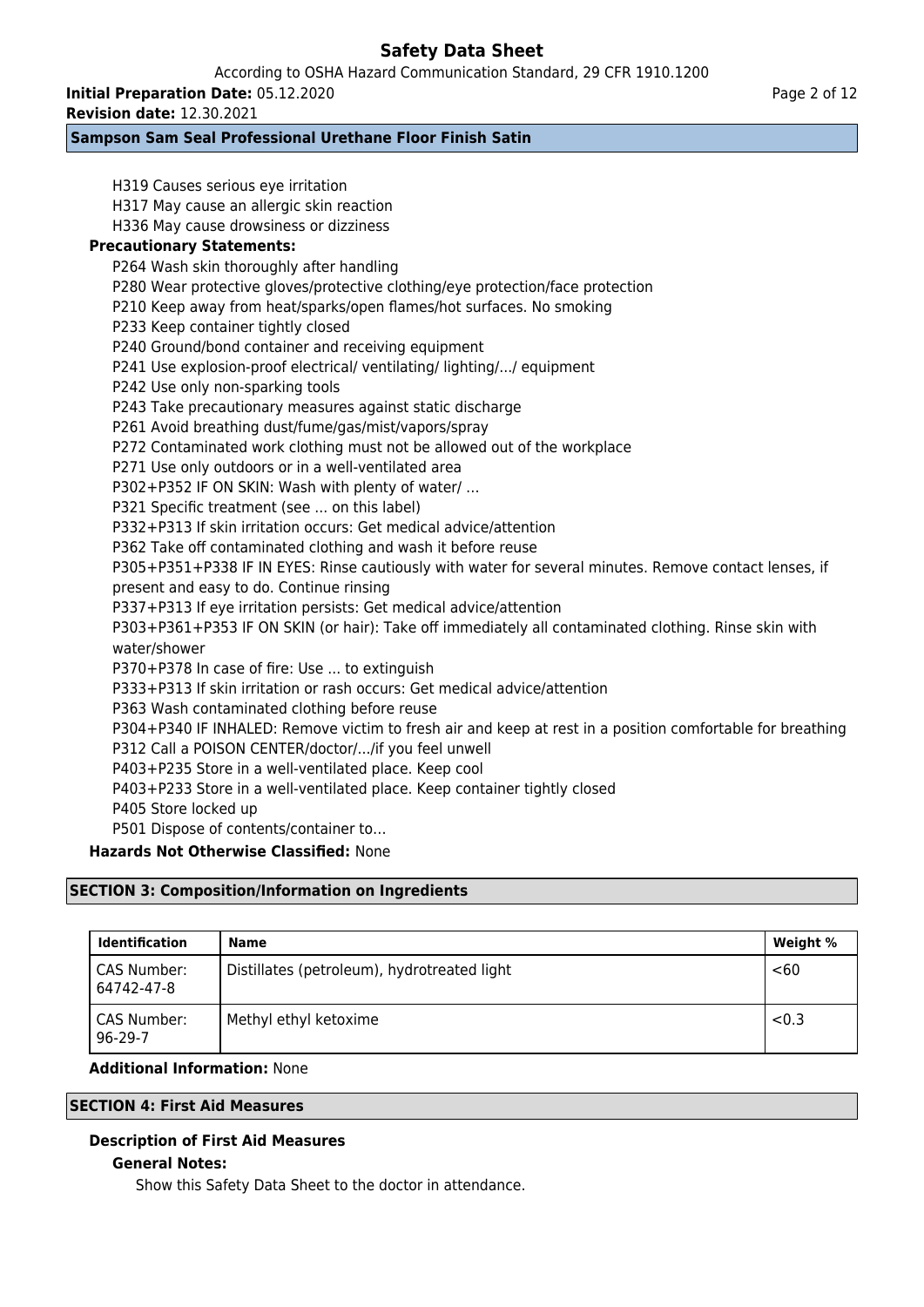According to OSHA Hazard Communication Standard, 29 CFR 1910.1200

**Initial Preparation Date:** 05.12.2020

**Revision date:** 12.30.2021

## **Sampson Sam Seal Professional Urethane Floor Finish Satin**

H319 Causes serious eye irritation H317 May cause an allergic skin reaction H336 May cause drowsiness or dizziness **Precautionary Statements:** P264 Wash skin thoroughly after handling P280 Wear protective gloves/protective clothing/eye protection/face protection P210 Keep away from heat/sparks/open flames/hot surfaces. No smoking P233 Keep container tightly closed P240 Ground/bond container and receiving equipment P241 Use explosion-proof electrical/ ventilating/ lighting/.../ equipment P242 Use only non-sparking tools P243 Take precautionary measures against static discharge P261 Avoid breathing dust/fume/gas/mist/vapors/spray P272 Contaminated work clothing must not be allowed out of the workplace P271 Use only outdoors or in a well-ventilated area P302+P352 IF ON SKIN: Wash with plenty of water/ … P321 Specific treatment (see ... on this label) P332+P313 If skin irritation occurs: Get medical advice/attention P362 Take off contaminated clothing and wash it before reuse P305+P351+P338 IF IN EYES: Rinse cautiously with water for several minutes. Remove contact lenses, if present and easy to do. Continue rinsing P337+P313 If eye irritation persists: Get medical advice/attention P303+P361+P353 IF ON SKIN (or hair): Take off immediately all contaminated clothing. Rinse skin with water/shower P370+P378 In case of fire: Use ... to extinguish P333+P313 If skin irritation or rash occurs: Get medical advice/attention P363 Wash contaminated clothing before reuse P304+P340 IF INHALED: Remove victim to fresh air and keep at rest in a position comfortable for breathing P312 Call a POISON CENTER/doctor/.../if you feel unwell P403+P235 Store in a well-ventilated place. Keep cool P403+P233 Store in a well-ventilated place. Keep container tightly closed P405 Store locked up P501 Dispose of contents/container to… **Hazards Not Otherwise Classified:** None

# **SECTION 3: Composition/Information on Ingredients**

| <b>Identification</b>     | Name                                        | Weight % |
|---------------------------|---------------------------------------------|----------|
| CAS Number:<br>64742-47-8 | Distillates (petroleum), hydrotreated light | <60      |
| CAS Number:<br>96-29-7    | Methyl ethyl ketoxime                       | < 0.3    |

## **Additional Information:** None

## **SECTION 4: First Aid Measures**

## **Description of First Aid Measures**

## **General Notes:**

Show this Safety Data Sheet to the doctor in attendance.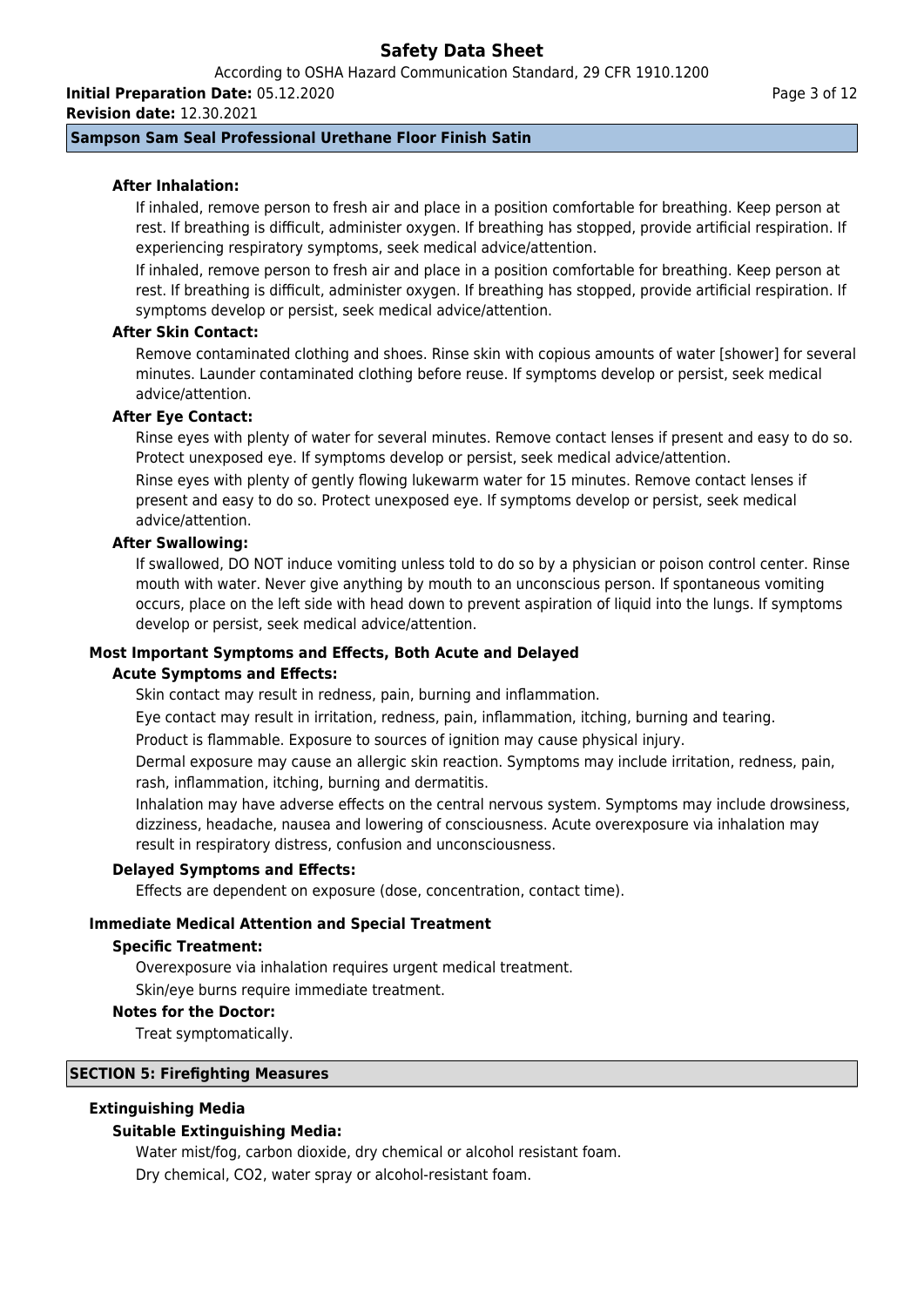According to OSHA Hazard Communication Standard, 29 CFR 1910.1200 **Initial Preparation Date:** 05.12.2020

**Revision date:** 12.30.2021

## **Sampson Sam Seal Professional Urethane Floor Finish Satin**

## **After Inhalation:**

If inhaled, remove person to fresh air and place in a position comfortable for breathing. Keep person at rest. If breathing is difficult, administer oxygen. If breathing has stopped, provide artificial respiration. If experiencing respiratory symptoms, seek medical advice/attention.

If inhaled, remove person to fresh air and place in a position comfortable for breathing. Keep person at rest. If breathing is difficult, administer oxygen. If breathing has stopped, provide artificial respiration. If symptoms develop or persist, seek medical advice/attention.

## **After Skin Contact:**

Remove contaminated clothing and shoes. Rinse skin with copious amounts of water [shower] for several minutes. Launder contaminated clothing before reuse. If symptoms develop or persist, seek medical advice/attention.

## **After Eye Contact:**

Rinse eyes with plenty of water for several minutes. Remove contact lenses if present and easy to do so. Protect unexposed eye. If symptoms develop or persist, seek medical advice/attention. Rinse eyes with plenty of gently flowing lukewarm water for 15 minutes. Remove contact lenses if

present and easy to do so. Protect unexposed eye. If symptoms develop or persist, seek medical advice/attention.

### **After Swallowing:**

If swallowed, DO NOT induce vomiting unless told to do so by a physician or poison control center. Rinse mouth with water. Never give anything by mouth to an unconscious person. If spontaneous vomiting occurs, place on the left side with head down to prevent aspiration of liquid into the lungs. If symptoms develop or persist, seek medical advice/attention.

### **Most Important Symptoms and Effects, Both Acute and Delayed**

## **Acute Symptoms and Effects:**

Skin contact may result in redness, pain, burning and inflammation.

Eye contact may result in irritation, redness, pain, inflammation, itching, burning and tearing.

Product is flammable. Exposure to sources of ignition may cause physical injury.

Dermal exposure may cause an allergic skin reaction. Symptoms may include irritation, redness, pain, rash, inflammation, itching, burning and dermatitis.

Inhalation may have adverse effects on the central nervous system. Symptoms may include drowsiness, dizziness, headache, nausea and lowering of consciousness. Acute overexposure via inhalation may result in respiratory distress, confusion and unconsciousness.

### **Delayed Symptoms and Effects:**

Effects are dependent on exposure (dose, concentration, contact time).

## **Immediate Medical Attention and Special Treatment**

### **Specific Treatment:**

Overexposure via inhalation requires urgent medical treatment.

Skin/eye burns require immediate treatment.

### **Notes for the Doctor:**

Treat symptomatically.

## **SECTION 5: Firefighting Measures**

## **Extinguishing Media**

## **Suitable Extinguishing Media:**

Water mist/fog, carbon dioxide, dry chemical or alcohol resistant foam. Dry chemical, CO2, water spray or alcohol-resistant foam.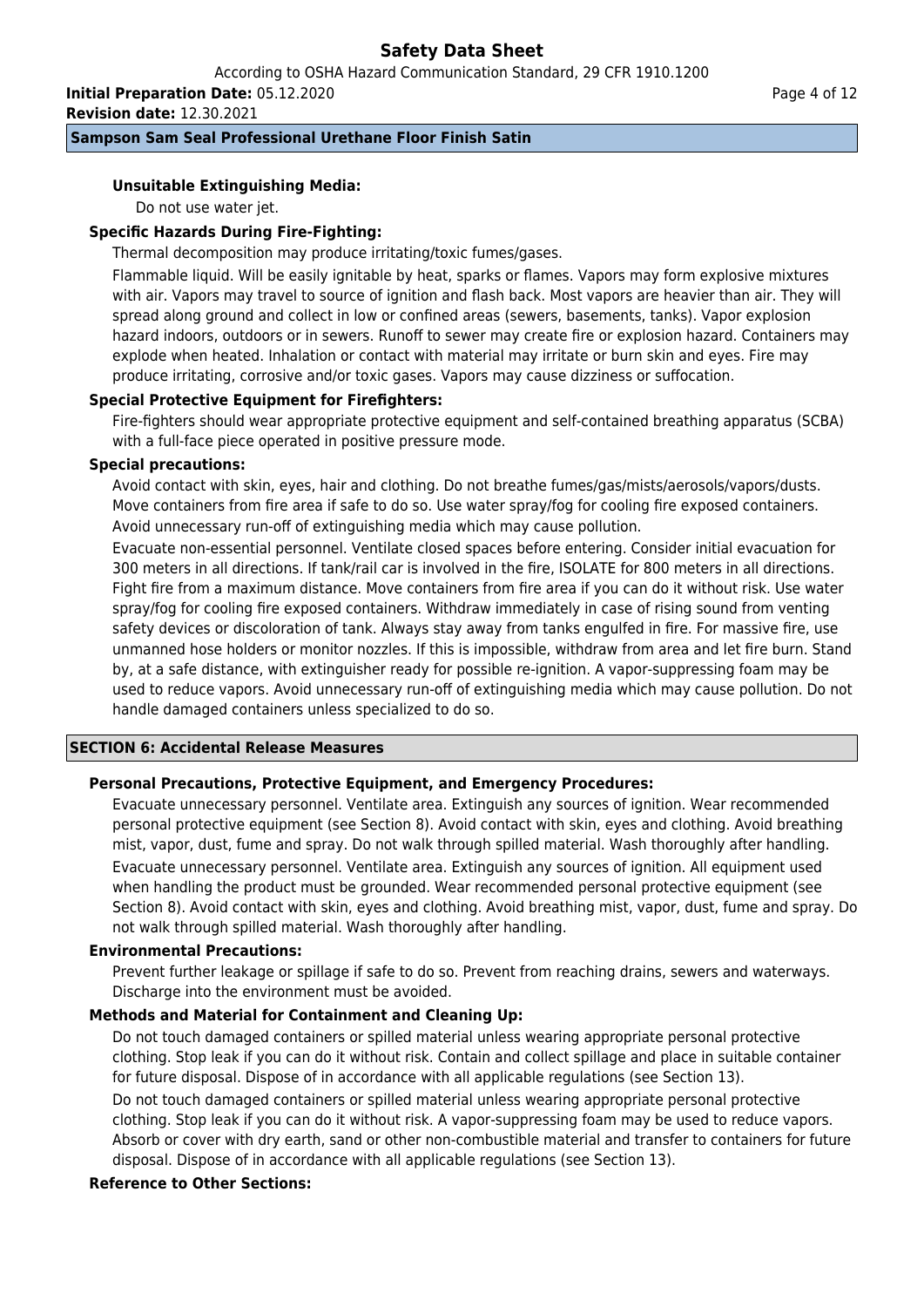According to OSHA Hazard Communication Standard, 29 CFR 1910.1200

**Initial Preparation Date:** 05.12.2020 **Revision date:** 12.30.2021

## **Sampson Sam Seal Professional Urethane Floor Finish Satin**

## **Unsuitable Extinguishing Media:**

Do not use water jet.

## **Specific Hazards During Fire-Fighting:**

Thermal decomposition may produce irritating/toxic fumes/gases.

Flammable liquid. Will be easily ignitable by heat, sparks or flames. Vapors may form explosive mixtures with air. Vapors may travel to source of ignition and flash back. Most vapors are heavier than air. They will spread along ground and collect in low or confined areas (sewers, basements, tanks). Vapor explosion hazard indoors, outdoors or in sewers. Runoff to sewer may create fire or explosion hazard. Containers may explode when heated. Inhalation or contact with material may irritate or burn skin and eyes. Fire may produce irritating, corrosive and/or toxic gases. Vapors may cause dizziness or suffocation.

## **Special Protective Equipment for Firefighters:**

Fire-fighters should wear appropriate protective equipment and self-contained breathing apparatus (SCBA) with a full-face piece operated in positive pressure mode.

## **Special precautions:**

Avoid contact with skin, eyes, hair and clothing. Do not breathe fumes/gas/mists/aerosols/vapors/dusts. Move containers from fire area if safe to do so. Use water spray/fog for cooling fire exposed containers. Avoid unnecessary run-off of extinguishing media which may cause pollution.

Evacuate non-essential personnel. Ventilate closed spaces before entering. Consider initial evacuation for 300 meters in all directions. If tank/rail car is involved in the fire, ISOLATE for 800 meters in all directions. Fight fire from a maximum distance. Move containers from fire area if you can do it without risk. Use water spray/fog for cooling fire exposed containers. Withdraw immediately in case of rising sound from venting safety devices or discoloration of tank. Always stay away from tanks engulfed in fire. For massive fire, use unmanned hose holders or monitor nozzles. If this is impossible, withdraw from area and let fire burn. Stand by, at a safe distance, with extinguisher ready for possible re-ignition. A vapor-suppressing foam may be used to reduce vapors. Avoid unnecessary run-off of extinguishing media which may cause pollution. Do not handle damaged containers unless specialized to do so.

## **SECTION 6: Accidental Release Measures**

## **Personal Precautions, Protective Equipment, and Emergency Procedures:**

Evacuate unnecessary personnel. Ventilate area. Extinguish any sources of ignition. Wear recommended personal protective equipment (see Section 8). Avoid contact with skin, eyes and clothing. Avoid breathing mist, vapor, dust, fume and spray. Do not walk through spilled material. Wash thoroughly after handling. Evacuate unnecessary personnel. Ventilate area. Extinguish any sources of ignition. All equipment used when handling the product must be grounded. Wear recommended personal protective equipment (see Section 8). Avoid contact with skin, eyes and clothing. Avoid breathing mist, vapor, dust, fume and spray. Do not walk through spilled material. Wash thoroughly after handling.

## **Environmental Precautions:**

Prevent further leakage or spillage if safe to do so. Prevent from reaching drains, sewers and waterways. Discharge into the environment must be avoided.

## **Methods and Material for Containment and Cleaning Up:**

Do not touch damaged containers or spilled material unless wearing appropriate personal protective clothing. Stop leak if you can do it without risk. Contain and collect spillage and place in suitable container for future disposal. Dispose of in accordance with all applicable regulations (see Section 13).

Do not touch damaged containers or spilled material unless wearing appropriate personal protective clothing. Stop leak if you can do it without risk. A vapor-suppressing foam may be used to reduce vapors. Absorb or cover with dry earth, sand or other non-combustible material and transfer to containers for future disposal. Dispose of in accordance with all applicable regulations (see Section 13).

## **Reference to Other Sections:**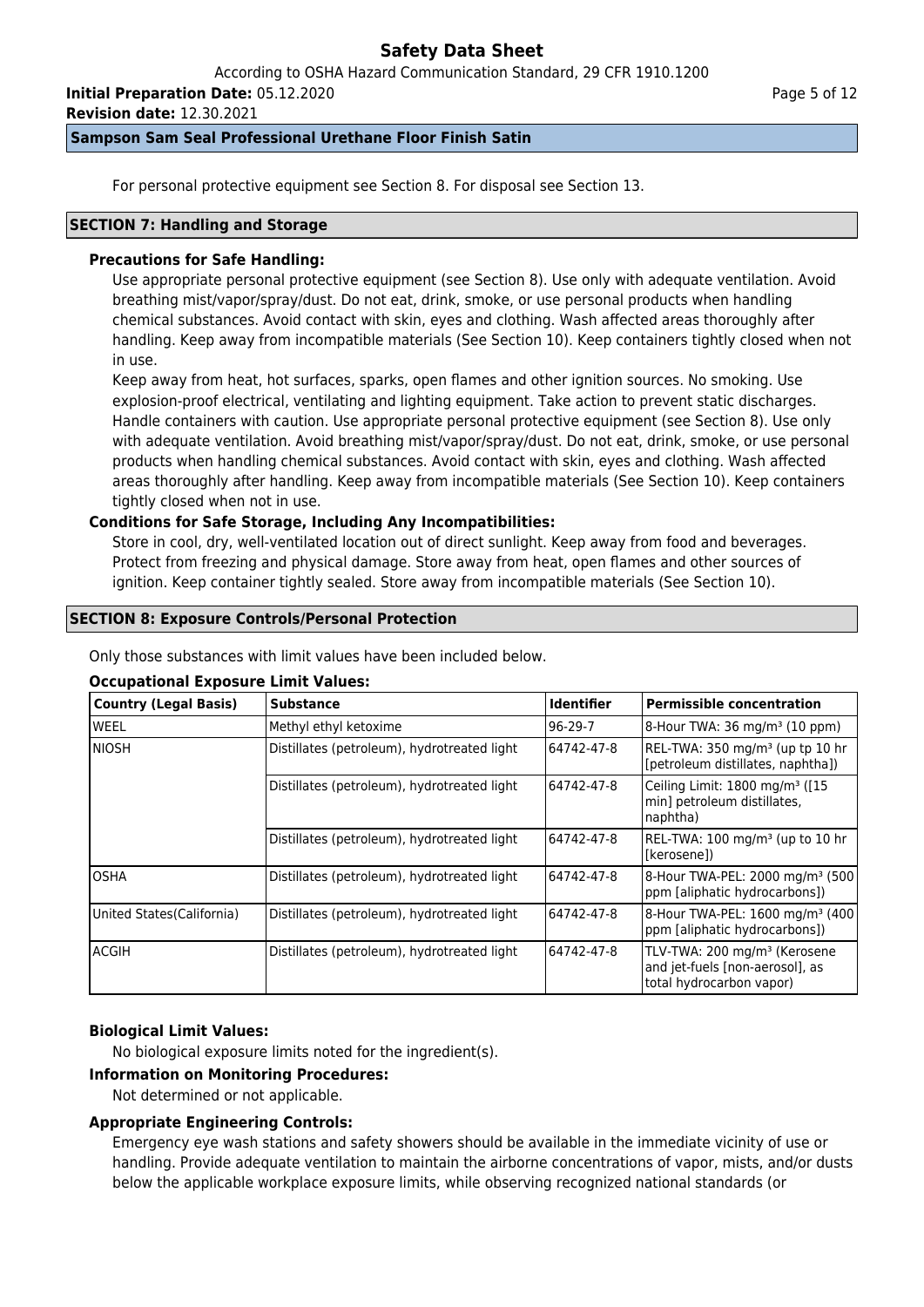According to OSHA Hazard Communication Standard, 29 CFR 1910.1200

**Initial Preparation Date:** 05.12.2020

**Revision date:** 12.30.2021

## **Sampson Sam Seal Professional Urethane Floor Finish Satin**

For personal protective equipment see Section 8. For disposal see Section 13.

### **SECTION 7: Handling and Storage**

## **Precautions for Safe Handling:**

Use appropriate personal protective equipment (see Section 8). Use only with adequate ventilation. Avoid breathing mist/vapor/spray/dust. Do not eat, drink, smoke, or use personal products when handling chemical substances. Avoid contact with skin, eyes and clothing. Wash affected areas thoroughly after handling. Keep away from incompatible materials (See Section 10). Keep containers tightly closed when not in use.

Keep away from heat, hot surfaces, sparks, open flames and other ignition sources. No smoking. Use explosion-proof electrical, ventilating and lighting equipment. Take action to prevent static discharges. Handle containers with caution. Use appropriate personal protective equipment (see Section 8). Use only with adequate ventilation. Avoid breathing mist/vapor/spray/dust. Do not eat, drink, smoke, or use personal products when handling chemical substances. Avoid contact with skin, eyes and clothing. Wash affected areas thoroughly after handling. Keep away from incompatible materials (See Section 10). Keep containers tightly closed when not in use.

## **Conditions for Safe Storage, Including Any Incompatibilities:**

Store in cool, dry, well-ventilated location out of direct sunlight. Keep away from food and beverages. Protect from freezing and physical damage. Store away from heat, open flames and other sources of ignition. Keep container tightly sealed. Store away from incompatible materials (See Section 10).

### **SECTION 8: Exposure Controls/Personal Protection**

Only those substances with limit values have been included below.

## **Occupational Exposure Limit Values:**

| Country (Legal Basis)      | <b>Substance</b>                            | <b>Identifier</b> | <b>Permissible concentration</b>                                                                        |
|----------------------------|---------------------------------------------|-------------------|---------------------------------------------------------------------------------------------------------|
| lweel                      | Methyl ethyl ketoxime                       | $96-29-7$         | 8-Hour TWA: 36 mg/m <sup>3</sup> (10 ppm)                                                               |
| Iniosh                     | Distillates (petroleum), hydrotreated light | 64742-47-8        | REL-TWA: 350 mg/m <sup>3</sup> (up tp 10 hr<br>[petroleum distillates, naphtha])                        |
|                            | Distillates (petroleum), hydrotreated light | 64742-47-8        | Ceiling Limit: 1800 mg/m <sup>3</sup> ([15<br>min] petroleum distillates,<br>naphtha)                   |
|                            | Distillates (petroleum), hydrotreated light | 64742-47-8        | REL-TWA: 100 mg/m <sup>3</sup> (up to 10 hr<br>l[kerosene])                                             |
| IOSHA                      | Distillates (petroleum), hydrotreated light | 64742-47-8        | 8-Hour TWA-PEL: 2000 mg/m <sup>3</sup> (500)<br>ppm [aliphatic hydrocarbons])                           |
| United States (California) | Distillates (petroleum), hydrotreated light | 64742-47-8        | 8-Hour TWA-PEL: 1600 mg/m <sup>3</sup> (400<br>ppm [aliphatic hydrocarbons])                            |
| lacgih                     | Distillates (petroleum), hydrotreated light | 64742-47-8        | TLV-TWA: 200 mg/m <sup>3</sup> (Kerosene<br>and jet-fuels [non-aerosol], as<br>total hydrocarbon vapor) |

## **Biological Limit Values:**

No biological exposure limits noted for the ingredient(s).

### **Information on Monitoring Procedures:**

Not determined or not applicable.

## **Appropriate Engineering Controls:**

Emergency eye wash stations and safety showers should be available in the immediate vicinity of use or handling. Provide adequate ventilation to maintain the airborne concentrations of vapor, mists, and/or dusts below the applicable workplace exposure limits, while observing recognized national standards (or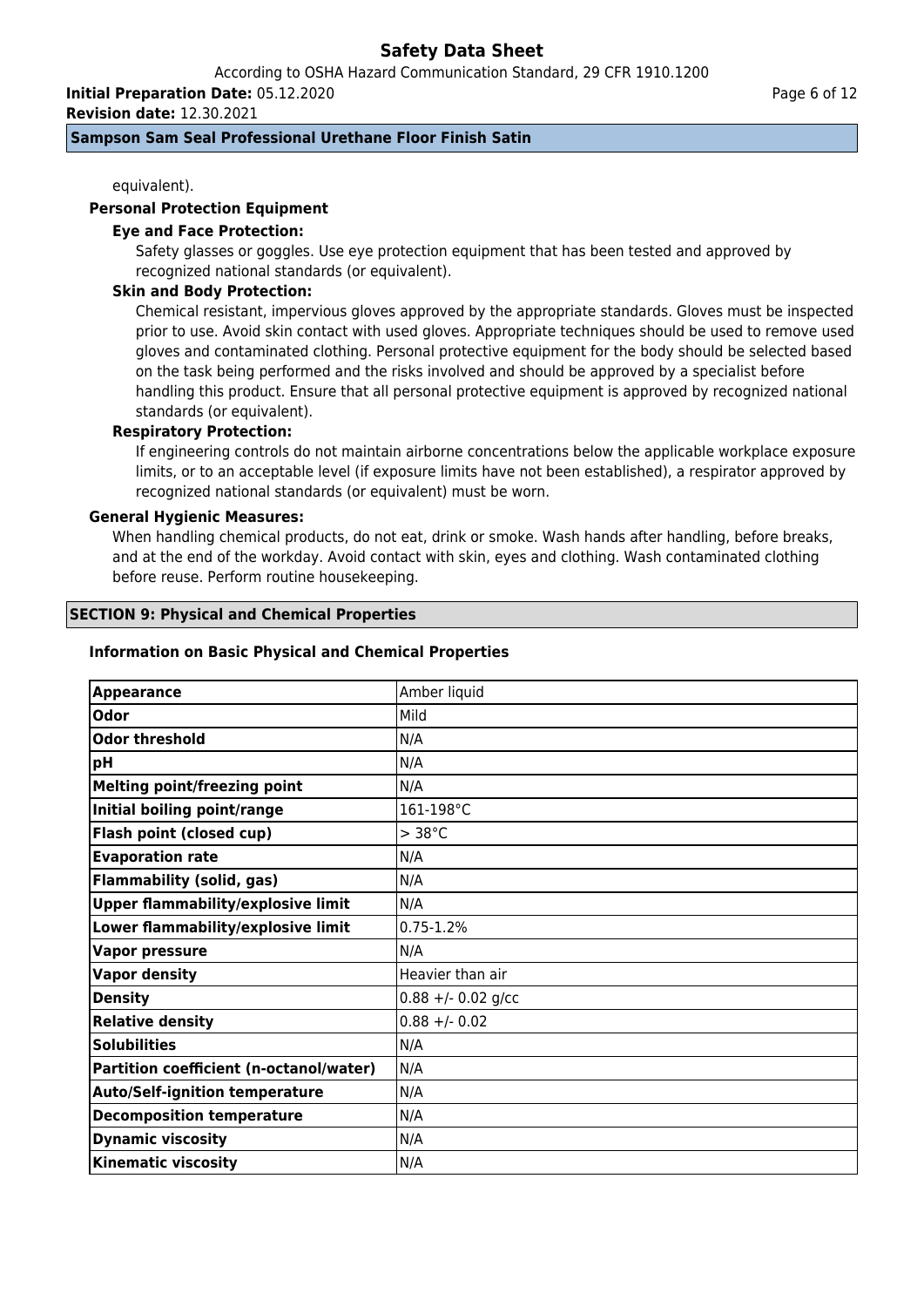According to OSHA Hazard Communication Standard, 29 CFR 1910.1200

**Initial Preparation Date:** 05.12.2020

**Revision date:** 12.30.2021

### **Sampson Sam Seal Professional Urethane Floor Finish Satin**

equivalent).

### **Personal Protection Equipment**

### **Eye and Face Protection:**

Safety glasses or goggles. Use eye protection equipment that has been tested and approved by recognized national standards (or equivalent).

### **Skin and Body Protection:**

Chemical resistant, impervious gloves approved by the appropriate standards. Gloves must be inspected prior to use. Avoid skin contact with used gloves. Appropriate techniques should be used to remove used gloves and contaminated clothing. Personal protective equipment for the body should be selected based on the task being performed and the risks involved and should be approved by a specialist before handling this product. Ensure that all personal protective equipment is approved by recognized national standards (or equivalent).

## **Respiratory Protection:**

If engineering controls do not maintain airborne concentrations below the applicable workplace exposure limits, or to an acceptable level (if exposure limits have not been established), a respirator approved by recognized national standards (or equivalent) must be worn.

### **General Hygienic Measures:**

When handling chemical products, do not eat, drink or smoke. Wash hands after handling, before breaks, and at the end of the workday. Avoid contact with skin, eyes and clothing. Wash contaminated clothing before reuse. Perform routine housekeeping.

### **SECTION 9: Physical and Chemical Properties**

### **Information on Basic Physical and Chemical Properties**

| <b>Appearance</b>                         | Amber liquid         |
|-------------------------------------------|----------------------|
| Odor                                      | Mild                 |
| <b>Odor threshold</b>                     | N/A                  |
| pH                                        | N/A                  |
| <b>Melting point/freezing point</b>       | N/A                  |
| Initial boiling point/range               | 161-198°C            |
| Flash point (closed cup)                  | $>$ 38 $^{\circ}$ C  |
| <b>Evaporation rate</b>                   | N/A                  |
| <b>Flammability (solid, gas)</b>          | N/A                  |
| <b>Upper flammability/explosive limit</b> | N/A                  |
| Lower flammability/explosive limit        | $0.75 - 1.2%$        |
| <b>Vapor pressure</b>                     | N/A                  |
| <b>Vapor density</b>                      | Heavier than air     |
| <b>Density</b>                            | $0.88 +/- 0.02$ g/cc |
| <b>Relative density</b>                   | $0.88 + - 0.02$      |
| <b>Solubilities</b>                       | N/A                  |
| Partition coefficient (n-octanol/water)   | N/A                  |
| <b>Auto/Self-ignition temperature</b>     | N/A                  |
| <b>Decomposition temperature</b>          | N/A                  |
| <b>Dynamic viscosity</b>                  | N/A                  |
| <b>Kinematic viscosity</b>                | N/A                  |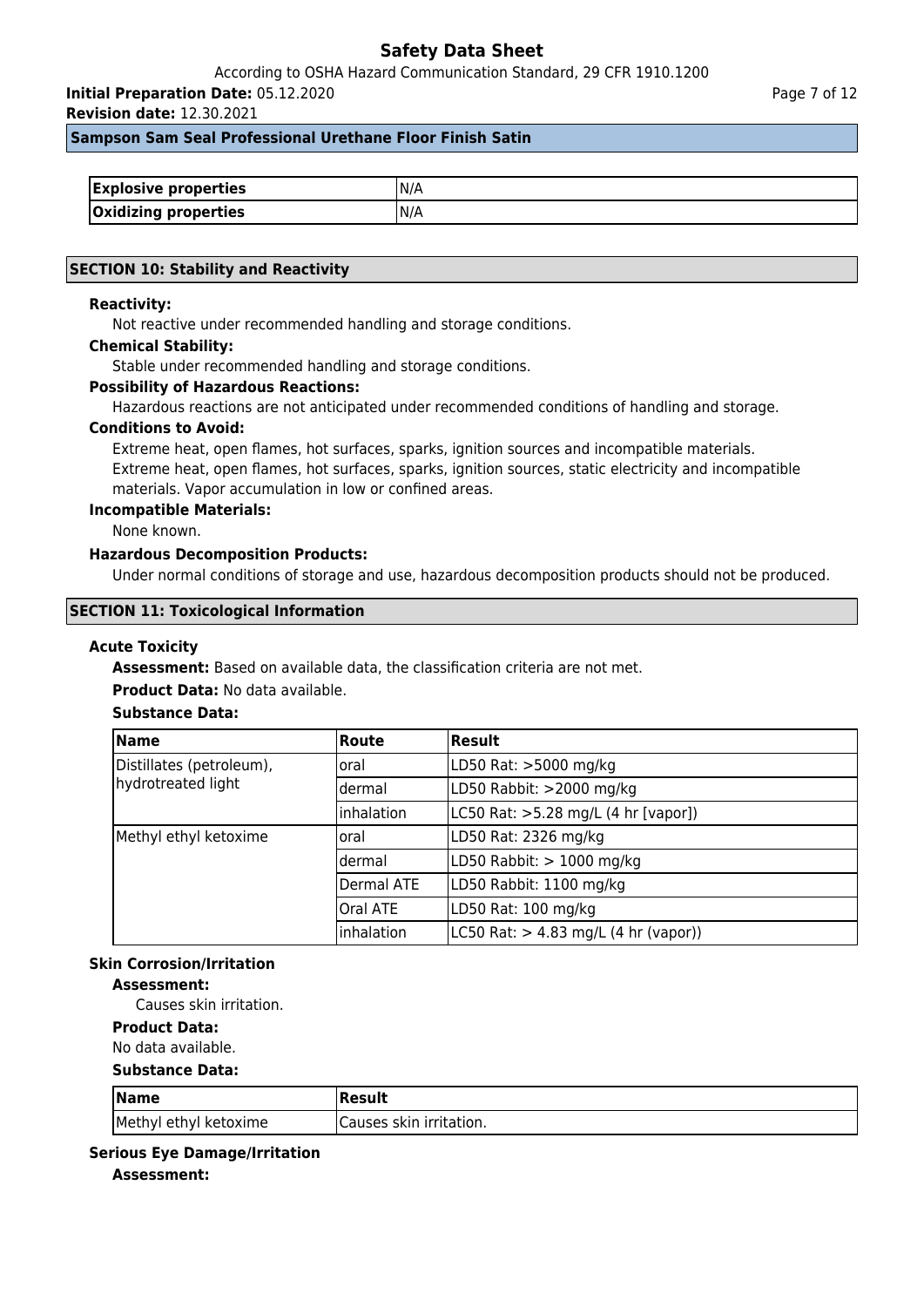According to OSHA Hazard Communication Standard, 29 CFR 1910.1200

**Initial Preparation Date:** 05.12.2020

**Revision date:** 12.30.2021

**Sampson Sam Seal Professional Urethane Floor Finish Satin**

| <b>Explosive properties</b> | N/A |
|-----------------------------|-----|
| Oxidizing properties        | N/A |

### **SECTION 10: Stability and Reactivity**

### **Reactivity:**

Not reactive under recommended handling and storage conditions.

### **Chemical Stability:**

Stable under recommended handling and storage conditions.

### **Possibility of Hazardous Reactions:**

Hazardous reactions are not anticipated under recommended conditions of handling and storage.

#### **Conditions to Avoid:**

Extreme heat, open flames, hot surfaces, sparks, ignition sources and incompatible materials. Extreme heat, open flames, hot surfaces, sparks, ignition sources, static electricity and incompatible materials. Vapor accumulation in low or confined areas.

#### **Incompatible Materials:**

None known.

### **Hazardous Decomposition Products:**

Under normal conditions of storage and use, hazardous decomposition products should not be produced.

### **SECTION 11: Toxicological Information**

#### **Acute Toxicity**

**Assessment:** Based on available data, the classification criteria are not met.

### **Product Data:** No data available.

## **Substance Data:**

| <b>Name</b>              | <b>Route</b>    | Result                                                   |
|--------------------------|-----------------|----------------------------------------------------------|
| Distillates (petroleum), | loral           | LD50 Rat: >5000 mg/kg                                    |
| hydrotreated light       | ldermal         | LD50 Rabbit: >2000 mg/kg                                 |
|                          | inhalation      | LC50 Rat: >5.28 mg/L (4 hr [vapor])                      |
| Methyl ethyl ketoxime    | loral           | LD50 Rat: 2326 mg/kg                                     |
|                          | ldermal         | LD50 Rabbit: $> 1000$ mg/kg                              |
|                          | Dermal ATE      | LD50 Rabbit: 1100 mg/kg                                  |
|                          | <b>Oral ATE</b> | LD50 Rat: 100 mg/kg                                      |
|                          | inhalation      | $ L C50 \text{ Rat:} > 4.83 \text{ mg/L}$ (4 hr (vapor)) |

## **Skin Corrosion/Irritation**

### **Assessment:**

Causes skin irritation.

## **Product Data:**

No data available.

### **Substance Data:**

| $\sqrt{\mathsf{Name}}$ | Result                   |
|------------------------|--------------------------|
| Methyl ethyl ketoxime  | ICauses skin irritation. |

## **Serious Eye Damage/Irritation**

**Assessment:**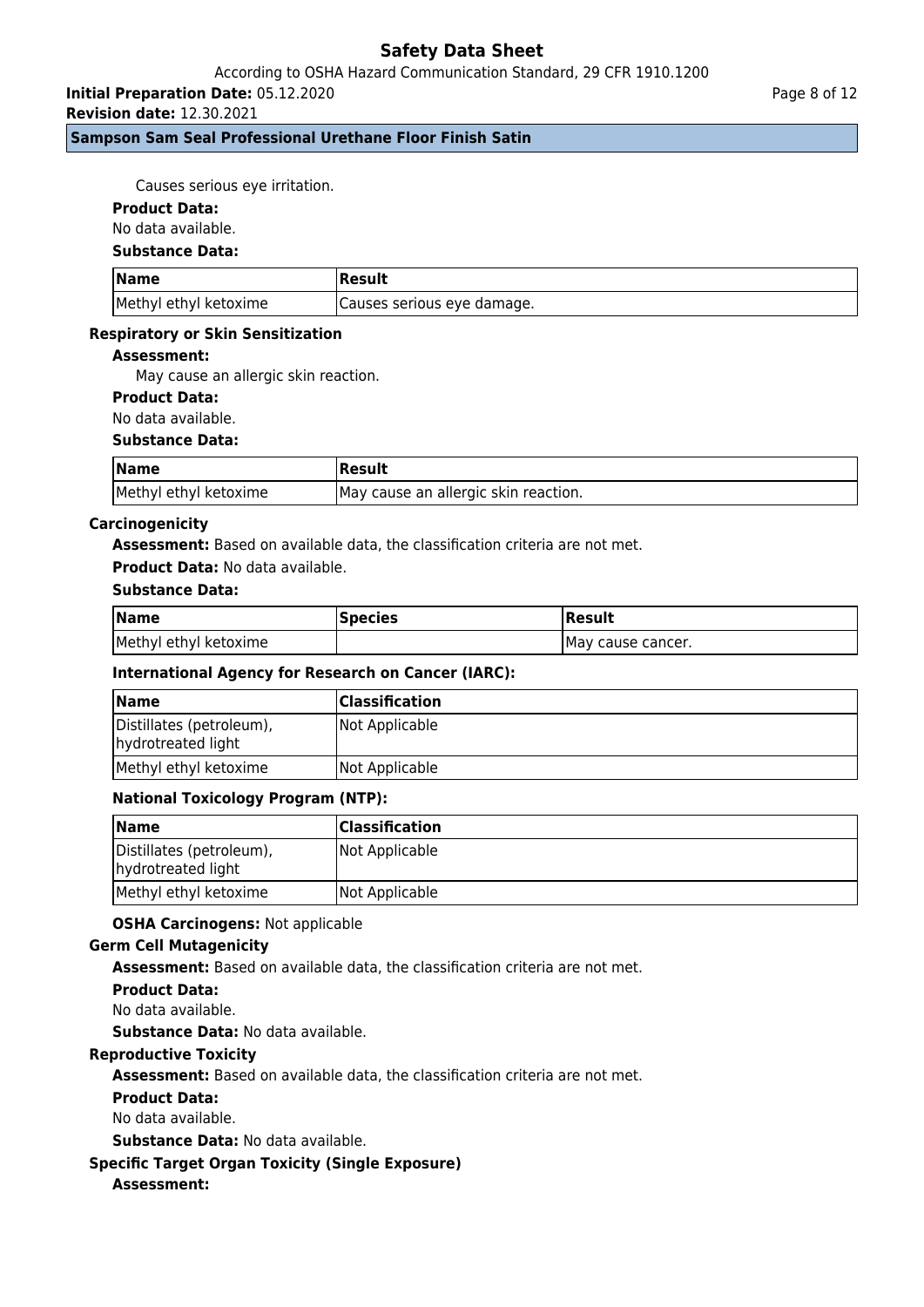## According to OSHA Hazard Communication Standard, 29 CFR 1910.1200

**Initial Preparation Date:** 05.12.2020

**Revision date:** 12.30.2021

## **Sampson Sam Seal Professional Urethane Floor Finish Satin**

Causes serious eye irritation.

### **Product Data:**

No data available.

#### **Substance Data:**

| <b>Name</b>           | Result                      |
|-----------------------|-----------------------------|
| Methyl ethyl ketoxime | (Causes serious eye damage. |

### **Respiratory or Skin Sensitization**

### **Assessment:**

May cause an allergic skin reaction.

## **Product Data:**

No data available.

### **Substance Data:**

| <b>Name</b>           | Result                                |
|-----------------------|---------------------------------------|
| Methyl ethyl ketoxime | IMay cause an allergic skin reaction. |

### **Carcinogenicity**

**Assessment:** Based on available data, the classification criteria are not met.

### **Product Data:** No data available.

## **Substance Data:**

| <b>Name</b>           | <b>Species</b> | Result             |
|-----------------------|----------------|--------------------|
| Methyl ethyl ketoxime |                | IMay cause cancer. |

## **International Agency for Research on Cancer (IARC):**

| <b>Name</b>                                    | <b>Classification</b> |
|------------------------------------------------|-----------------------|
| Distillates (petroleum),<br>hydrotreated light | Not Applicable        |
| Methyl ethyl ketoxime                          | Not Applicable        |

## **National Toxicology Program (NTP):**

| <b>Name</b>                                    | <b>Classification</b> |
|------------------------------------------------|-----------------------|
| Distillates (petroleum),<br>hydrotreated light | Not Applicable        |
| Methyl ethyl ketoxime                          | Not Applicable        |

### **OSHA Carcinogens:** Not applicable

### **Germ Cell Mutagenicity**

**Assessment:** Based on available data, the classification criteria are not met.

### **Product Data:**

No data available.

**Substance Data:** No data available.

## **Reproductive Toxicity**

**Assessment:** Based on available data, the classification criteria are not met.

### **Product Data:**

No data available.

**Substance Data:** No data available.

## **Specific Target Organ Toxicity (Single Exposure)**

## **Assessment:**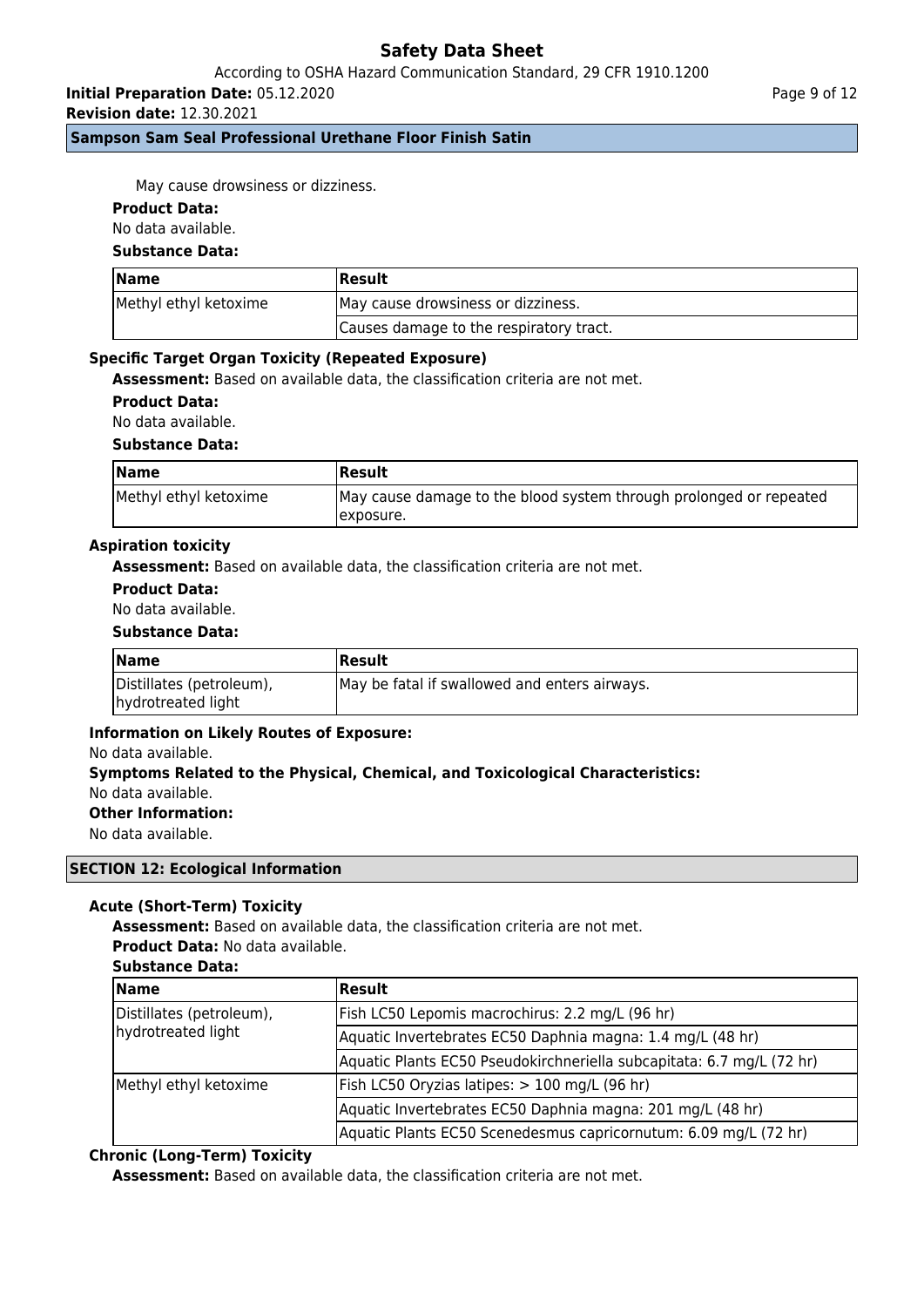## According to OSHA Hazard Communication Standard, 29 CFR 1910.1200

**Initial Preparation Date:** 05.12.2020

**Revision date:** 12.30.2021

**Sampson Sam Seal Professional Urethane Floor Finish Satin**

Page 9 of 12

May cause drowsiness or dizziness.

### **Product Data:**

No data available.

## **Substance Data:**

| Name                  | Result                                  |  |
|-----------------------|-----------------------------------------|--|
| Methyl ethyl ketoxime | May cause drowsiness or dizziness.      |  |
|                       | Causes damage to the respiratory tract. |  |

## **Specific Target Organ Toxicity (Repeated Exposure)**

**Assessment:** Based on available data, the classification criteria are not met.

**Product Data:**

No data available.

### **Substance Data:**

| <b>Name</b>           | Result                                                                           |
|-----------------------|----------------------------------------------------------------------------------|
| Methyl ethyl ketoxime | May cause damage to the blood system through prolonged or repeated<br>Texposure. |

### **Aspiration toxicity**

**Assessment:** Based on available data, the classification criteria are not met.

## **Product Data:**

No data available.

### **Substance Data:**

| <b>Name</b>                                    | <b> Result</b>                                |
|------------------------------------------------|-----------------------------------------------|
| Distillates (petroleum),<br>hydrotreated light | May be fatal if swallowed and enters airways. |

## **Information on Likely Routes of Exposure:**

### No data available.

# **Symptoms Related to the Physical, Chemical, and Toxicological Characteristics:** No data available.

**Other Information:**

No data available.

### **SECTION 12: Ecological Information**

## **Acute (Short-Term) Toxicity**

**Assessment:** Based on available data, the classification criteria are not met. **Product Data:** No data available.

### **Substance Data:**

| <b>Name</b>                                    | <b>Result</b>                                                         |
|------------------------------------------------|-----------------------------------------------------------------------|
| Distillates (petroleum),<br>hydrotreated light | Fish LC50 Lepomis macrochirus: 2.2 mg/L (96 hr)                       |
|                                                | Aquatic Invertebrates EC50 Daphnia magna: 1.4 mg/L (48 hr)            |
|                                                | Aquatic Plants EC50 Pseudokirchneriella subcapitata: 6.7 mg/L (72 hr) |
| Methyl ethyl ketoxime                          | Fish LC50 Oryzias latipes: > 100 mg/L (96 hr)                         |
|                                                | Aquatic Invertebrates EC50 Daphnia magna: 201 mg/L (48 hr)            |
|                                                | Aquatic Plants EC50 Scenedesmus capricornutum: 6.09 mg/L (72 hr)      |

## **Chronic (Long-Term) Toxicity**

**Assessment:** Based on available data, the classification criteria are not met.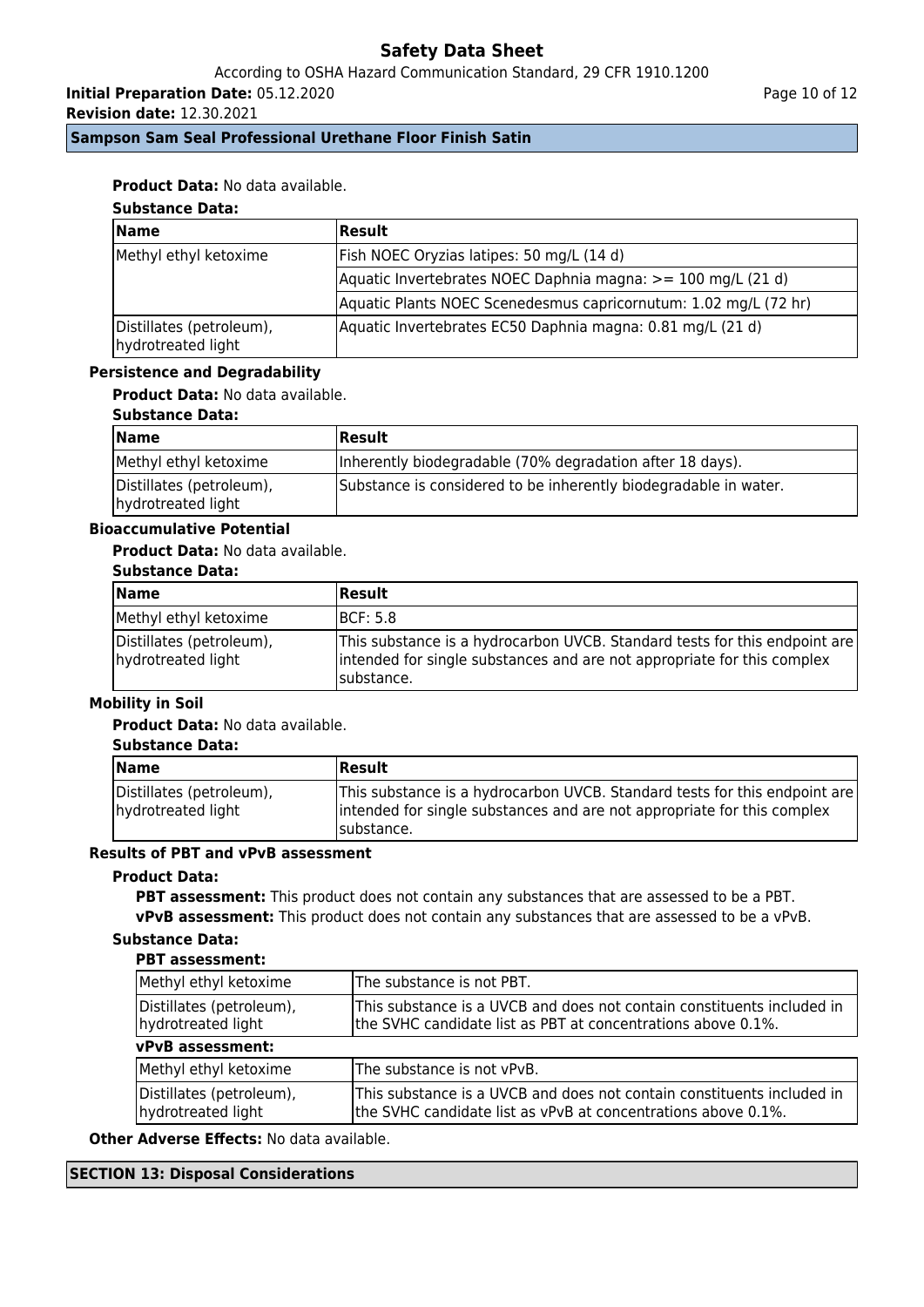According to OSHA Hazard Communication Standard, 29 CFR 1910.1200

**Initial Preparation Date:** 05.12.2020

**Revision date:** 12.30.2021

Page 10 of 12

**Sampson Sam Seal Professional Urethane Floor Finish Satin**

## **Product Data:** No data available.

# **Substance Data:**

| <b>Name</b>                                    | Result                                                           |
|------------------------------------------------|------------------------------------------------------------------|
| Methyl ethyl ketoxime                          | Fish NOEC Oryzias latipes: 50 mg/L (14 d)                        |
|                                                | Aquatic Invertebrates NOEC Daphnia magna: >= 100 mg/L (21 d)     |
|                                                | Aquatic Plants NOEC Scenedesmus capricornutum: 1.02 mg/L (72 hr) |
| Distillates (petroleum),<br>hydrotreated light | Aquatic Invertebrates EC50 Daphnia magna: 0.81 mg/L (21 d)       |

## **Persistence and Degradability**

**Product Data:** No data available.

### **Substance Data:**

| <b>Name</b>                                    | Result                                                           |
|------------------------------------------------|------------------------------------------------------------------|
| Methyl ethyl ketoxime                          | Inherently biodegradable (70% degradation after 18 days).        |
| Distillates (petroleum),<br>hydrotreated light | Substance is considered to be inherently biodegradable in water. |

# **Bioaccumulative Potential**

## **Product Data:** No data available.

### **Substance Data:**

| Name                                           | <b>Result</b>                                                                                                                                                        |
|------------------------------------------------|----------------------------------------------------------------------------------------------------------------------------------------------------------------------|
| Methyl ethyl ketoxime                          | IBCF: 5.8                                                                                                                                                            |
| Distillates (petroleum),<br>hydrotreated light | This substance is a hydrocarbon UVCB. Standard tests for this endpoint are<br>intended for single substances and are not appropriate for this complex<br>Isubstance. |

## **Mobility in Soil**

**Product Data:** No data available.

### **Substance Data:**

| Name                                           | Result                                                                                                                                                               |
|------------------------------------------------|----------------------------------------------------------------------------------------------------------------------------------------------------------------------|
| Distillates (petroleum),<br>hydrotreated light | This substance is a hydrocarbon UVCB. Standard tests for this endpoint are<br>intended for single substances and are not appropriate for this complex<br>Isubstance. |

# **Results of PBT and vPvB assessment**

## **Product Data:**

**PBT assessment:** This product does not contain any substances that are assessed to be a PBT. **vPvB assessment:** This product does not contain any substances that are assessed to be a vPvB.

# **Substance Data:**

### **PBT assessment:**

| Methyl ethyl ketoxime                          | The substance is not PBT.                                                                                                               |  |
|------------------------------------------------|-----------------------------------------------------------------------------------------------------------------------------------------|--|
| Distillates (petroleum),<br>hydrotreated light | This substance is a UVCB and does not contain constituents included in<br>the SVHC candidate list as PBT at concentrations above 0.1%.  |  |
| vPvB assessment:                               |                                                                                                                                         |  |
| Methyl ethyl ketoxime                          | The substance is not vPvB.                                                                                                              |  |
| Distillates (petroleum),<br>hydrotreated light | This substance is a UVCB and does not contain constituents included in<br>the SVHC candidate list as vPvB at concentrations above 0.1%. |  |

**Other Adverse Effects:** No data available.

## **SECTION 13: Disposal Considerations**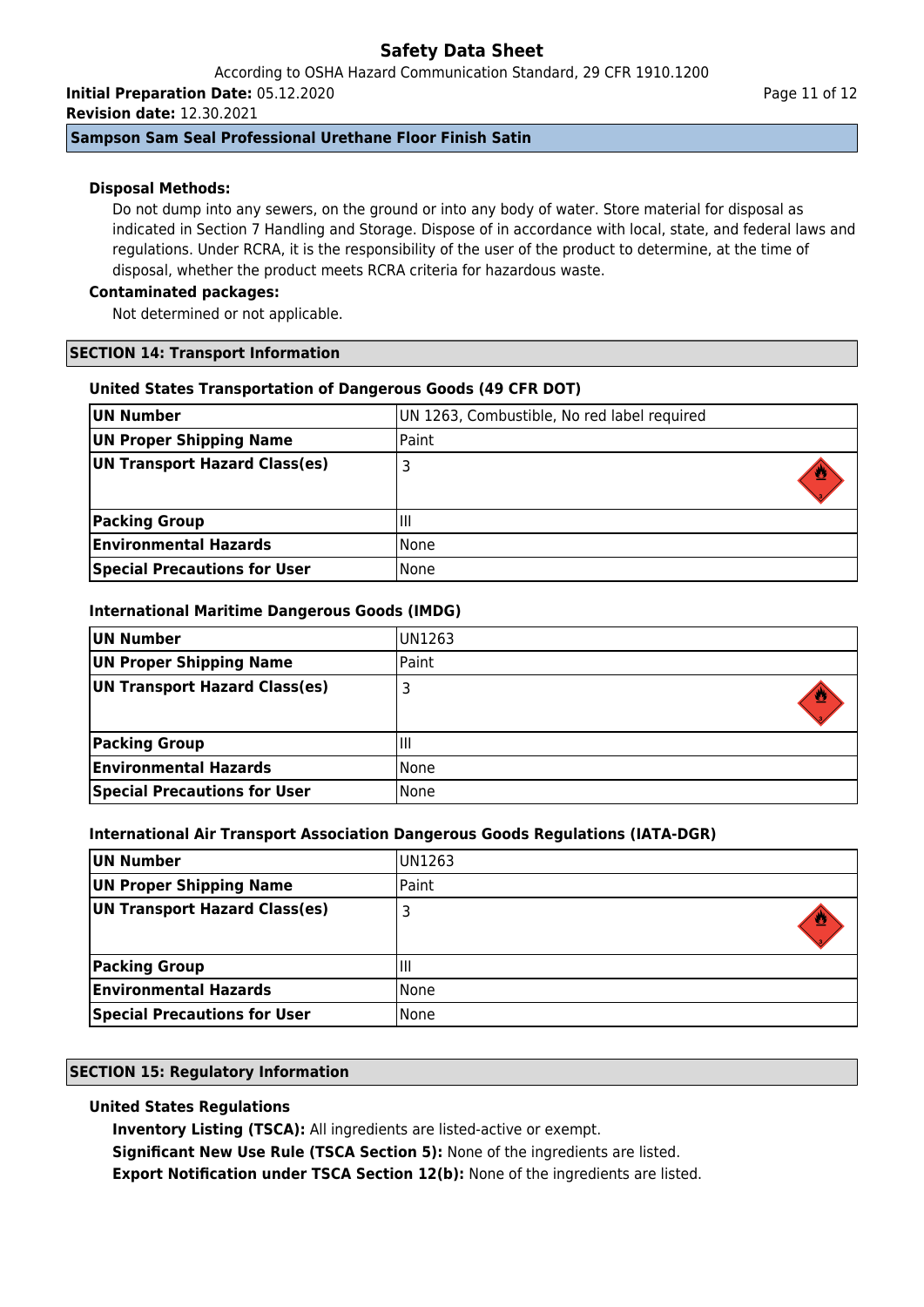According to OSHA Hazard Communication Standard, 29 CFR 1910.1200 **Initial Preparation Date:** 05.12.2020

**Revision date:** 12.30.2021

## **Sampson Sam Seal Professional Urethane Floor Finish Satin**

## **Disposal Methods:**

Do not dump into any sewers, on the ground or into any body of water. Store material for disposal as indicated in Section 7 Handling and Storage. Dispose of in accordance with local, state, and federal laws and regulations. Under RCRA, it is the responsibility of the user of the product to determine, at the time of disposal, whether the product meets RCRA criteria for hazardous waste.

## **Contaminated packages:**

Not determined or not applicable.

## **SECTION 14: Transport Information**

## **United States Transportation of Dangerous Goods (49 CFR DOT)**

| UN Number                           | UN 1263, Combustible, No red label required |
|-------------------------------------|---------------------------------------------|
| UN Proper Shipping Name             | Paint                                       |
| UN Transport Hazard Class(es)       | 3                                           |
| <b>Packing Group</b>                | ΠI                                          |
| <b>Environmental Hazards</b>        | <b>None</b>                                 |
| <b>Special Precautions for User</b> | None                                        |

## **International Maritime Dangerous Goods (IMDG)**

| UN Number                           | IUN1263 |
|-------------------------------------|---------|
| UN Proper Shipping Name             | Paint   |
| UN Transport Hazard Class(es)       | 3       |
|                                     |         |
| <b>Packing Group</b>                | Ш       |
| <b>Environmental Hazards</b>        | l None  |
| <b>Special Precautions for User</b> | l None  |

## **International Air Transport Association Dangerous Goods Regulations (IATA-DGR)**

| UN Number                           | UN1263 |
|-------------------------------------|--------|
| UN Proper Shipping Name             | Paint  |
| UN Transport Hazard Class(es)       |        |
| <b>Packing Group</b>                | Ш      |
| <b>Environmental Hazards</b>        | None   |
| <b>Special Precautions for User</b> | None   |

## **SECTION 15: Regulatory Information**

# **United States Regulations**

**Inventory Listing (TSCA):** All ingredients are listed-active or exempt.

**Significant New Use Rule (TSCA Section 5):** None of the ingredients are listed.

**Export Notification under TSCA Section 12(b):** None of the ingredients are listed.